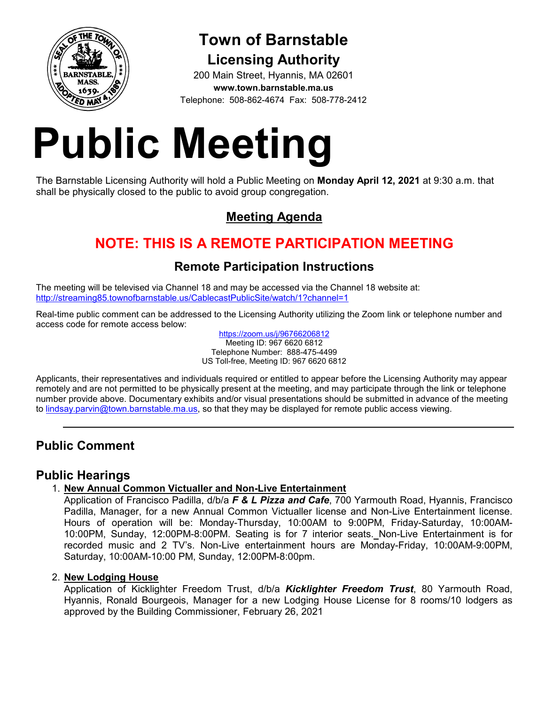

# **Town of Barnstable Licensing Authority**

200 Main Street, Hyannis, MA 02601 **www.town.barnstable.ma.us** Telephone: 508-862-4674 Fax: 508-778-2412

# **Public Meeting**

The Barnstable Licensing Authority will hold a Public Meeting on **Monday April 12, 2021** at 9:30 a.m. that shall be physically closed to the public to avoid group congregation.

# **Meeting Agenda**

# **NOTE: THIS IS A REMOTE PARTICIPATION MEETING**

# **Remote Participation Instructions**

The meeting will be televised via Channel 18 and may be accessed via the Channel 18 website at: http://streaming85.townofbarnstable.us/CablecastPublicSite/watch/1?channel=1

Real-time public comment can be addressed to the Licensing Authority utilizing the Zoom link or telephone number and access code for remote access below:

https://zoom.us/j/96766206812 Meeting ID: 967 6620 6812 Telephone Number: 888-475-4499 US Toll-free, Meeting ID: 967 6620 6812

Applicants, their representatives and individuals required or entitled to appear before the Licensing Authority may appear remotely and are not permitted to be physically present at the meeting, and may participate through the link or telephone number provide above. Documentary exhibits and/or visual presentations should be submitted in advance of the meeting to lindsay.parvin@town.barnstable.ma.us, so that they may be displayed for remote public access viewing.

# **Public Comment**

## **Public Hearings**

## 1. **New Annual Common Victualler and Non-Live Entertainment**

Application of Francisco Padilla, d/b/a *F & L Pizza and Cafe*, 700 Yarmouth Road, Hyannis, Francisco Padilla, Manager, for a new Annual Common Victualler license and Non-Live Entertainment license. Hours of operation will be: Monday-Thursday, 10:00AM to 9:00PM, Friday-Saturday, 10:00AM-10:00PM, Sunday, 12:00PM-8:00PM. Seating is for 7 interior seats. Non-Live Entertainment is for recorded music and 2 TV's. Non-Live entertainment hours are Monday-Friday, 10:00AM-9:00PM, Saturday, 10:00AM-10:00 PM, Sunday, 12:00PM-8:00pm.

### 2. **New Lodging House**

Application of Kicklighter Freedom Trust, d/b/a *Kicklighter Freedom Trust*, 80 Yarmouth Road, Hyannis, Ronald Bourgeois, Manager for a new Lodging House License for 8 rooms/10 lodgers as approved by the Building Commissioner, February 26, 2021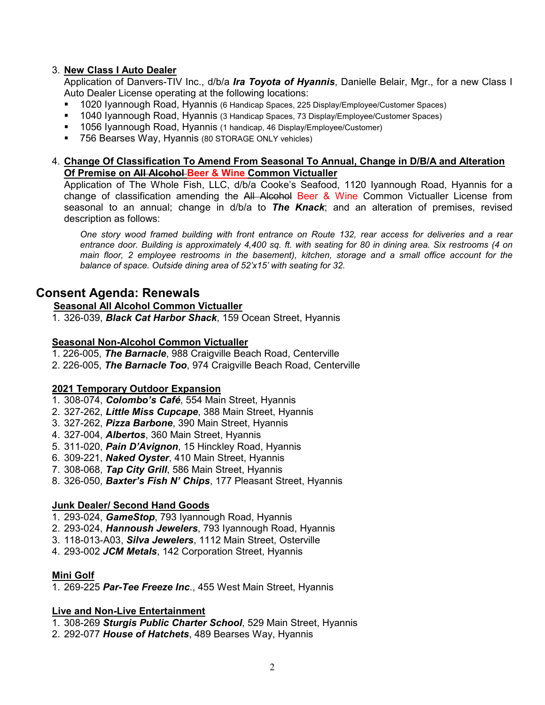#### 3. **New Class I Auto Dealer**

Application of Danvers-TIV Inc., d/b/a *Ira Toyota of Hyannis*, Danielle Belair, Mgr., for a new Class I Auto Dealer License operating at the following locations:

- 1020 Iyannough Road, Hyannis (6 Handicap Spaces, 225 Display/Employee/Customer Spaces)
- 1040 Iyannough Road, Hyannis (3 Handicap Spaces, 73 Display/Employee/Customer Spaces)
- 1056 Iyannough Road, Hyannis (1 handicap, 46 Display/Employee/Customer)
- 756 Bearses Way, Hyannis (80 STORAGE ONLY vehicles)

#### 4. **Change Of Classification To Amend From Seasonal To Annual, Change in D/B/A and Alteration Of Premise on All Alcohol Beer & Wine Common Victualler**

Application of The Whole Fish, LLC, d/b/a Cooke's Seafood, 1120 Iyannough Road, Hyannis for a change of classification amending the All Alcohol Beer & Wine Common Victualler License from seasonal to an annual; change in d/b/a to *The Knack*; and an alteration of premises, revised description as follows:

*One story wood framed building with front entrance on Route 132, rear access for deliveries and a rear entrance door. Building is approximately 4,400 sq. ft. with seating for 80 in dining area. Six restrooms (4 on main floor, 2 employee restrooms in the basement), kitchen, storage and a small office account for the balance of space. Outside dining area of 52'x15' with seating for 32.* 

## **Consent Agenda: Renewals**

#### **Seasonal All Alcohol Common Victualler**

1. 326-039, *Black Cat Harbor Shack*, 159 Ocean Street, Hyannis

#### **Seasonal Non-Alcohol Common Victualler**

- 1. 226-005, *The Barnacle*, 988 Craigville Beach Road, Centerville
- 2. 226-005, *The Barnacle Too*, 974 Craigville Beach Road, Centerville

#### **2021 Temporary Outdoor Expansion**

- 1. 308-074, *Colombo's Café*, 554 Main Street, Hyannis
- 2. 327-262, *Little Miss Cupcape*, 388 Main Street, Hyannis
- 3. 327-262, *Pizza Barbone*, 390 Main Street, Hyannis
- 4. 327-004, *Albertos*, 360 Main Street, Hyannis
- 5. 311-020, *Pain D'Avignon*, 15 Hinckley Road, Hyannis
- 6. 309-221, *Naked Oyster*, 410 Main Street, Hyannis
- 7. 308-068, *Tap City Grill*, 586 Main Street, Hyannis
- 8. 326-050, *Baxter's Fish N' Chips*, 177 Pleasant Street, Hyannis

#### **Junk Dealer/ Second Hand Goods**

- 1. 293-024, *GameStop*, 793 Iyannough Road, Hyannis
- 2. 293-024, *Hannoush Jewelers*, 793 Iyannough Road, Hyannis
- 3. 118-013-A03, *Silva Jewelers*, 1112 Main Street, Osterville
- 4. 293-002 *JCM Metals*, 142 Corporation Street, Hyannis

#### **Mini Golf**

1. 269-225 *Par-Tee Freeze Inc*., 455 West Main Street, Hyannis

#### **Live and Non-Live Entertainment**

- 1. 308-269 *Sturgis Public Charter School*, 529 Main Street, Hyannis
- 2. 292-077 *House of Hatchets*, 489 Bearses Way, Hyannis